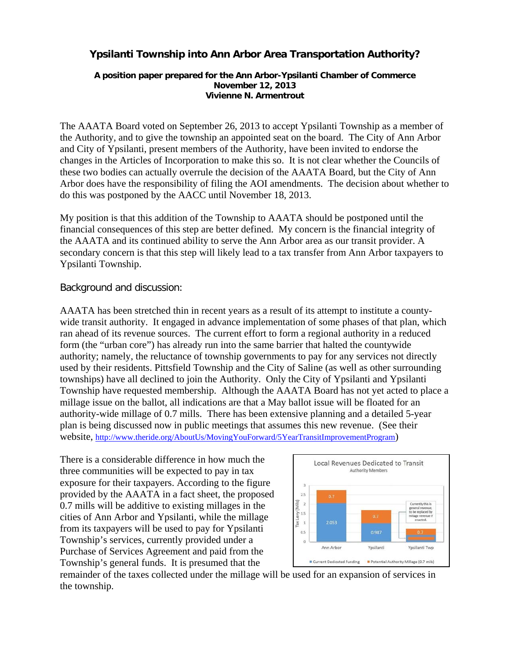# **Ypsilanti Township into Ann Arbor Area Transportation Authority?**

#### **A position paper prepared for the Ann Arbor-Ypsilanti Chamber of Commerce November 12, 2013 Vivienne N. Armentrout**

The AAATA Board voted on September 26, 2013 to accept Ypsilanti Township as a member of the Authority, and to give the township an appointed seat on the board. The City of Ann Arbor and City of Ypsilanti, present members of the Authority, have been invited to endorse the changes in the Articles of Incorporation to make this so. It is not clear whether the Councils of these two bodies can actually overrule the decision of the AAATA Board, but the City of Ann Arbor does have the responsibility of filing the AOI amendments. The decision about whether to do this was postponed by the AACC until November 18, 2013.

My position is that this addition of the Township to AAATA should be postponed until the financial consequences of this step are better defined. My concern is the financial integrity of the AAATA and its continued ability to serve the Ann Arbor area as our transit provider. A secondary concern is that this step will likely lead to a tax transfer from Ann Arbor taxpayers to Ypsilanti Township.

## Background and discussion:

AAATA has been stretched thin in recent years as a result of its attempt to institute a countywide transit authority. It engaged in advance implementation of some phases of that plan, which ran ahead of its revenue sources. The current effort to form a regional authority in a reduced form (the "urban core") has already run into the same barrier that halted the countywide authority; namely, the reluctance of township governments to pay for any services not directly used by their residents. Pittsfield Township and the City of Saline (as well as other surrounding townships) have all declined to join the Authority. Only the City of Ypsilanti and Ypsilanti Township have requested membership. Although the AAATA Board has not yet acted to place a millage issue on the ballot, all indications are that a May ballot issue will be floated for an authority-wide millage of 0.7 mills. There has been extensive planning and a detailed 5-year plan is being discussed now in public meetings that assumes this new revenue. (See their website, [http://www.theride.org/AboutUs/MovingYouForward/5YearTransitImprovementProgram\)](http://www.theride.org/AboutUs/MovingYouForward/5YearTransitImprovementProgram)

There is a considerable difference in how much the three communities will be expected to pay in tax exposure for their taxpayers. According to the figure provided by the AAATA in a fact sheet, the proposed 0.7 mills will be additive to existing millages in the cities of Ann Arbor and Ypsilanti, while the millage from its taxpayers will be used to pay for Ypsilanti Township's services, currently provided under a Purchase of Services Agreement and paid from the Township's general funds. It is presumed that the



remainder of the taxes collected under the millage will be used for an expansion of services in the township.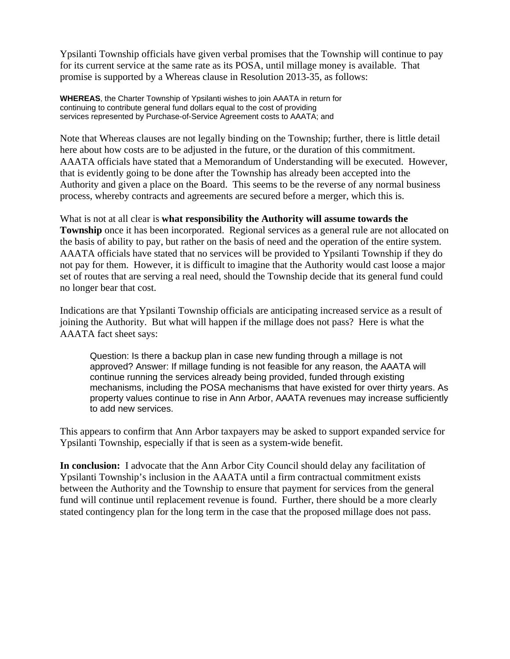Ypsilanti Township officials have given verbal promises that the Township will continue to pay for its current service at the same rate as its POSA, until millage money is available. That promise is supported by a Whereas clause in Resolution 2013-35, as follows:

**WHEREAS**, the Charter Township of Ypsilanti wishes to join AAATA in return for continuing to contribute general fund dollars equal to the cost of providing services represented by Purchase-of-Service Agreement costs to AAATA; and

Note that Whereas clauses are not legally binding on the Township; further, there is little detail here about how costs are to be adjusted in the future, or the duration of this commitment. AAATA officials have stated that a Memorandum of Understanding will be executed. However, that is evidently going to be done after the Township has already been accepted into the Authority and given a place on the Board. This seems to be the reverse of any normal business process, whereby contracts and agreements are secured before a merger, which this is.

What is not at all clear is **what responsibility the Authority will assume towards the Township** once it has been incorporated. Regional services as a general rule are not allocated on the basis of ability to pay, but rather on the basis of need and the operation of the entire system. AAATA officials have stated that no services will be provided to Ypsilanti Township if they do not pay for them. However, it is difficult to imagine that the Authority would cast loose a major set of routes that are serving a real need, should the Township decide that its general fund could no longer bear that cost.

Indications are that Ypsilanti Township officials are anticipating increased service as a result of joining the Authority. But what will happen if the millage does not pass? Here is what the AAATA fact sheet says:

Question: Is there a backup plan in case new funding through a millage is not approved? Answer: If millage funding is not feasible for any reason, the AAATA will continue running the services already being provided, funded through existing mechanisms, including the POSA mechanisms that have existed for over thirty years. As property values continue to rise in Ann Arbor, AAATA revenues may increase sufficiently to add new services.

This appears to confirm that Ann Arbor taxpayers may be asked to support expanded service for Ypsilanti Township, especially if that is seen as a system-wide benefit.

**In conclusion:** I advocate that the Ann Arbor City Council should delay any facilitation of Ypsilanti Township's inclusion in the AAATA until a firm contractual commitment exists between the Authority and the Township to ensure that payment for services from the general fund will continue until replacement revenue is found. Further, there should be a more clearly stated contingency plan for the long term in the case that the proposed millage does not pass.